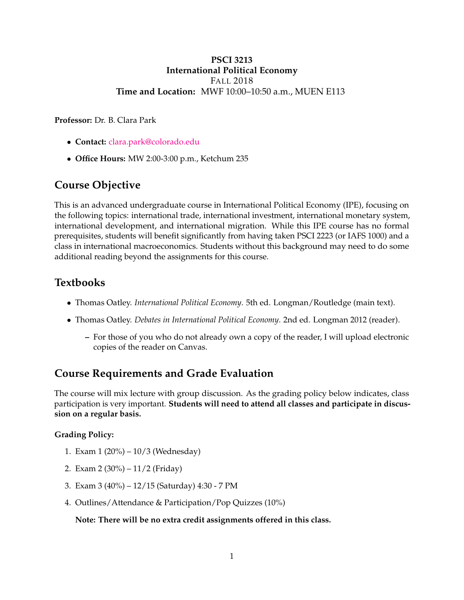### **PSCI 3213 International Political Economy** FALL 2018 **Time and Location:** MWF 10:00–10:50 a.m., MUEN E113

**Professor:** Dr. B. Clara Park

- **Contact:** [clara.park@colorado.edu](mailto:clara.park@colorado.edu)
- **Office Hours:** MW 2:00-3:00 p.m., Ketchum 235

## **Course Objective**

This is an advanced undergraduate course in International Political Economy (IPE), focusing on the following topics: international trade, international investment, international monetary system, international development, and international migration. While this IPE course has no formal prerequisites, students will benefit significantly from having taken PSCI 2223 (or IAFS 1000) and a class in international macroeconomics. Students without this background may need to do some additional reading beyond the assignments for this course.

## **Textbooks**

- Thomas Oatley. *International Political Economy*. 5th ed. Longman/Routledge (main text).
- Thomas Oatley. *Debates in International Political Economy*. 2nd ed. Longman 2012 (reader).
	- **–** For those of you who do not already own a copy of the reader, I will upload electronic copies of the reader on Canvas.

## **Course Requirements and Grade Evaluation**

The course will mix lecture with group discussion. As the grading policy below indicates, class participation is very important. **Students will need to attend all classes and participate in discussion on a regular basis.**

#### **Grading Policy:**

- 1. Exam 1 (20%) 10/3 (Wednesday)
- 2. Exam 2 (30%) 11/2 (Friday)
- 3. Exam 3 (40%) 12/15 (Saturday) 4:30 7 PM
- 4. Outlines/Attendance & Participation/Pop Quizzes (10%)

**Note: There will be no extra credit assignments offered in this class.**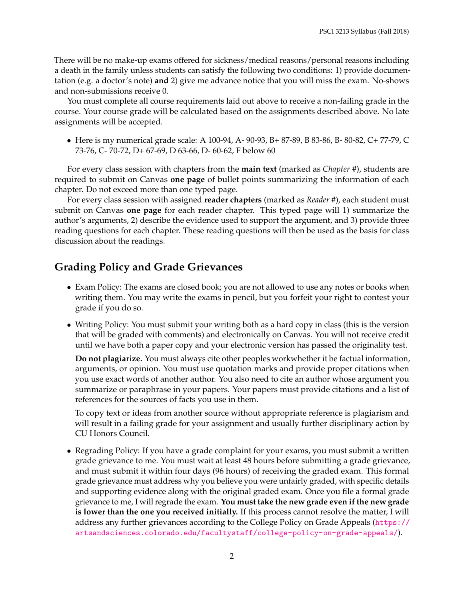There will be no make-up exams offered for sickness/medical reasons/personal reasons including a death in the family unless students can satisfy the following two conditions: 1) provide documentation (e.g. a doctor's note) **and** 2) give me advance notice that you will miss the exam. No-shows and non-submissions receive 0.

You must complete all course requirements laid out above to receive a non-failing grade in the course. Your course grade will be calculated based on the assignments described above. No late assignments will be accepted.

• Here is my numerical grade scale: A 100-94, A- 90-93, B+ 87-89, B 83-86, B- 80-82, C+ 77-79, C 73-76, C- 70-72, D+ 67-69, D 63-66, D- 60-62, F below 60

For every class session with chapters from the **main text** (marked as *Chapter #*), students are required to submit on Canvas **one page** of bullet points summarizing the information of each chapter. Do not exceed more than one typed page.

For every class session with assigned **reader chapters** (marked as *Reader #*), each student must submit on Canvas **one page** for each reader chapter. This typed page will 1) summarize the author's arguments, 2) describe the evidence used to support the argument, and 3) provide three reading questions for each chapter. These reading questions will then be used as the basis for class discussion about the readings.

## **Grading Policy and Grade Grievances**

- Exam Policy: The exams are closed book; you are not allowed to use any notes or books when writing them. You may write the exams in pencil, but you forfeit your right to contest your grade if you do so.
- Writing Policy: You must submit your writing both as a hard copy in class (this is the version that will be graded with comments) and electronically on Canvas. You will not receive credit until we have both a paper copy and your electronic version has passed the originality test.

**Do not plagiarize.** You must always cite other peoples workwhether it be factual information, arguments, or opinion. You must use quotation marks and provide proper citations when you use exact words of another author. You also need to cite an author whose argument you summarize or paraphrase in your papers. Your papers must provide citations and a list of references for the sources of facts you use in them.

To copy text or ideas from another source without appropriate reference is plagiarism and will result in a failing grade for your assignment and usually further disciplinary action by CU Honors Council.

• Regrading Policy: If you have a grade complaint for your exams, you must submit a written grade grievance to me. You must wait at least 48 hours before submitting a grade grievance, and must submit it within four days (96 hours) of receiving the graded exam. This formal grade grievance must address why you believe you were unfairly graded, with specific details and supporting evidence along with the original graded exam. Once you file a formal grade grievance to me, I will regrade the exam. **You must take the new grade even if the new grade is lower than the one you received initially.** If this process cannot resolve the matter, I will address any further grievances according to the College Policy on Grade Appeals ([https://](https://artsandsciences.colorado.edu/facultystaff/college-policy-on-grade-appeals/) [artsandsciences.colorado.edu/facultystaff/college-policy-on-grade-appeals/](https://artsandsciences.colorado.edu/facultystaff/college-policy-on-grade-appeals/)).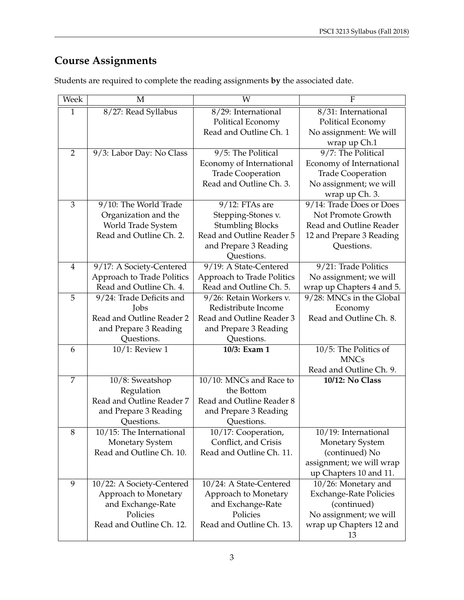# **Course Assignments**

| 8/27: Read Syllabus<br>8/31: International<br>$\mathbf{1}$<br>8/29: International                                                        |  |
|------------------------------------------------------------------------------------------------------------------------------------------|--|
| Political Economy<br>Political Economy                                                                                                   |  |
| Read and Outline Ch. 1<br>No assignment: We will                                                                                         |  |
| wrap up Ch.1                                                                                                                             |  |
| 9/7: The Political<br>$\overline{2}$<br>9/5: The Political<br>9/3: Labor Day: No Class                                                   |  |
| Economy of International<br>Economy of International                                                                                     |  |
| <b>Trade Cooperation</b><br><b>Trade Cooperation</b>                                                                                     |  |
| Read and Outline Ch. 3.<br>No assignment; we will                                                                                        |  |
| wrap up Ch. 3.                                                                                                                           |  |
| 3<br>9/14: Trade Does or Does<br>9/10: The World Trade<br>$9/12$ : FTAs are                                                              |  |
| Not Promote Growth<br>Organization and the<br>Stepping-Stones v.                                                                         |  |
| World Trade System<br><b>Stumbling Blocks</b><br>Read and Outline Reader                                                                 |  |
| Read and Outline Reader 5<br>Read and Outline Ch. 2.<br>12 and Prepare 3 Reading                                                         |  |
| and Prepare 3 Reading<br>Questions.                                                                                                      |  |
| Questions.                                                                                                                               |  |
| 9/19: A State-Centered<br>9/21: Trade Politics<br>$\overline{4}$<br>9/17: A Society-Centered                                             |  |
| Approach to Trade Politics<br>Approach to Trade Politics<br>No assignment; we will<br>Read and Outline Ch. 4.<br>Read and Outline Ch. 5. |  |
| wrap up Chapters 4 and 5.<br>9/28: MNCs in the Global<br>5<br>9/24: Trade Deficits and<br>9/26: Retain Workers v.                        |  |
| Redistribute Income<br>Jobs<br>Economy                                                                                                   |  |
| Read and Outline Reader 2<br>Read and Outline Ch. 8.<br>Read and Outline Reader 3                                                        |  |
| and Prepare 3 Reading<br>and Prepare 3 Reading                                                                                           |  |
| Questions.<br>Questions.                                                                                                                 |  |
| 10/1: Review 1<br>10/3: Exam 1<br>10/5: The Politics of<br>6                                                                             |  |
| <b>MNCs</b>                                                                                                                              |  |
| Read and Outline Ch. 9.                                                                                                                  |  |
| $\overline{7}$<br>10/10: MNCs and Race to<br>10/12: No Class<br>10/8: Sweatshop                                                          |  |
| Regulation<br>the Bottom                                                                                                                 |  |
| Read and Outline Reader 7<br>Read and Outline Reader 8                                                                                   |  |
| and Prepare 3 Reading<br>and Prepare 3 Reading                                                                                           |  |
| Questions.<br>Questions.                                                                                                                 |  |
| 8<br>10/15: The International<br>$\overline{10/17}$ : Cooperation,<br>10/19: International                                               |  |
| <b>Monetary System</b><br>Conflict, and Crisis<br><b>Monetary System</b>                                                                 |  |
| Read and Outline Ch. 10.<br>Read and Outline Ch. 11.<br>(continued) No                                                                   |  |
| assignment; we will wrap                                                                                                                 |  |
| up Chapters 10 and 11.                                                                                                                   |  |
| 9<br>10/22: A Society-Centered<br>10/24: A State-Centered<br>10/26: Monetary and                                                         |  |
| Approach to Monetary<br>Approach to Monetary<br><b>Exchange-Rate Policies</b>                                                            |  |
| and Exchange-Rate<br>and Exchange-Rate<br>(continued)                                                                                    |  |
| Policies<br>Policies<br>No assignment; we will<br>Read and Outline Ch. 13.<br>Read and Outline Ch. 12.                                   |  |
| wrap up Chapters 12 and<br>13                                                                                                            |  |

Students are required to complete the reading assignments **by** the associated date.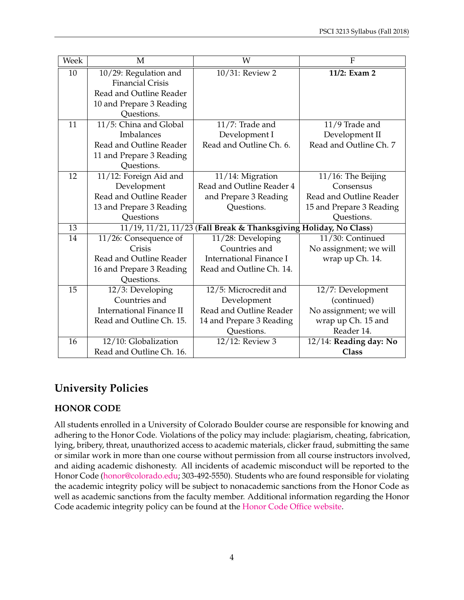| Week | M                                                                 | W                              | $\overline{F}$           |
|------|-------------------------------------------------------------------|--------------------------------|--------------------------|
| 10   | 10/29: Regulation and                                             | 10/31: Review 2                | 11/2: Exam 2             |
|      | <b>Financial Crisis</b>                                           |                                |                          |
|      | Read and Outline Reader                                           |                                |                          |
|      | 10 and Prepare 3 Reading                                          |                                |                          |
|      | Questions.                                                        |                                |                          |
| 11   | 11/5: China and Global                                            | 11/7: Trade and                | 11/9 Trade and           |
|      | Imbalances                                                        | Development I                  | Development II           |
|      | Read and Outline Reader                                           | Read and Outline Ch. 6.        | Read and Outline Ch. 7   |
|      | 11 and Prepare 3 Reading                                          |                                |                          |
|      | Questions.                                                        |                                |                          |
| 12   | 11/12: Foreign Aid and                                            | 11/14: Migration               | 11/16: The Beijing       |
|      | Development                                                       | Read and Outline Reader 4      | Consensus                |
|      | Read and Outline Reader                                           | and Prepare 3 Reading          | Read and Outline Reader  |
|      | 13 and Prepare 3 Reading                                          | Questions.                     | 15 and Prepare 3 Reading |
|      | Questions                                                         |                                | Questions.               |
| 13   | 11/19, 11/21, 11/23 (Fall Break & Thanksgiving Holiday, No Class) |                                |                          |
| 14   | 11/26: Consequence of                                             | 11/28: Developing              | 11/30: Continued         |
|      | Crisis                                                            | Countries and                  | No assignment; we will   |
|      | Read and Outline Reader                                           | <b>International Finance I</b> | wrap up Ch. 14.          |
|      | 16 and Prepare 3 Reading                                          | Read and Outline Ch. 14.       |                          |
|      | Questions.                                                        |                                |                          |
| 15   | 12/3: Developing                                                  | 12/5: Microcredit and          | 12/7: Development        |
|      | Countries and                                                     | Development                    | (continued)              |
|      | <b>International Finance II</b>                                   | Read and Outline Reader        | No assignment; we will   |
|      | Read and Outline Ch. 15.                                          | 14 and Prepare 3 Reading       | wrap up Ch. 15 and       |
|      |                                                                   | Questions.                     | Reader 14.               |
| 16   | 12/10: Globalization                                              | 12/12: Review 3                | 12/14: Reading day: No   |
|      | Read and Outline Ch. 16.                                          |                                | <b>Class</b>             |

## **University Policies**

## **HONOR CODE**

All students enrolled in a University of Colorado Boulder course are responsible for knowing and adhering to the Honor Code. Violations of the policy may include: plagiarism, cheating, fabrication, lying, bribery, threat, unauthorized access to academic materials, clicker fraud, submitting the same or similar work in more than one course without permission from all course instructors involved, and aiding academic dishonesty. All incidents of academic misconduct will be reported to the Honor Code [\(honor@colorado.edu;](mailto:honor@colorado.edu) 303-492-5550). Students who are found responsible for violating the academic integrity policy will be subject to nonacademic sanctions from the Honor Code as well as academic sanctions from the faculty member. Additional information regarding the Honor Code academic integrity policy can be found at the [Honor Code Office website.](https://www.colorado.edu/osccr/honor-code)